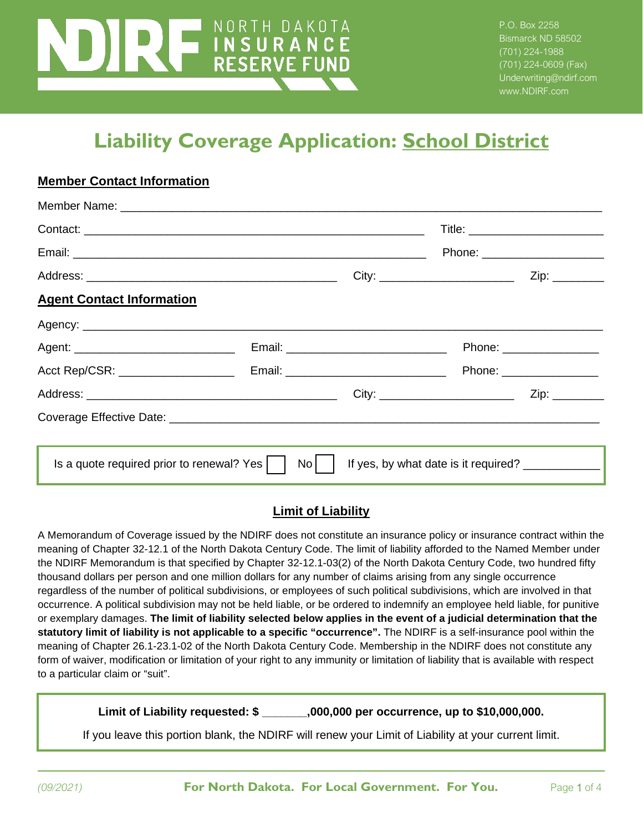# NORTH DAKOTA **LINSURANCE**<br>RESERVE FUND

**Member Contact Information**

P.O. Box 2258 Bismarck ND 58502 (701) 224-1988 (701) 224-0609 (Fax) Underwriting@ndirf.com www.NDIRF.com

## **Liability Coverage Application: School District**

|                                                               |      | Phone: _________________________ |                |  |
|---------------------------------------------------------------|------|----------------------------------|----------------|--|
|                                                               |      |                                  |                |  |
| <b>Agent Contact Information</b>                              |      |                                  |                |  |
|                                                               |      |                                  |                |  |
|                                                               |      | Phone: _________________         |                |  |
|                                                               |      | Phone: _________________         |                |  |
|                                                               |      |                                  | Zip: _________ |  |
|                                                               |      |                                  |                |  |
|                                                               |      |                                  |                |  |
| Is a quote required prior to renewal? Yes $\vert \quad \vert$ | $No$ |                                  |                |  |

#### **Limit of Liability**

A Memorandum of Coverage issued by the NDIRF does not constitute an insurance policy or insurance contract within the meaning of Chapter 32-12.1 of the North Dakota Century Code. The limit of liability afforded to the Named Member under the NDIRF Memorandum is that specified by Chapter 32-12.1-03(2) of the North Dakota Century Code, two hundred fifty thousand dollars per person and one million dollars for any number of claims arising from any single occurrence regardless of the number of political subdivisions, or employees of such political subdivisions, which are involved in that occurrence. A political subdivision may not be held liable, or be ordered to indemnify an employee held liable, for punitive or exemplary damages. **The limit of liability selected below applies in the event of a judicial determination that the statutory limit of liability is not applicable to a specific "occurrence".** The NDIRF is a self-insurance pool within the meaning of Chapter 26.1-23.1-02 of the North Dakota Century Code. Membership in the NDIRF does not constitute any form of waiver, modification or limitation of your right to any immunity or limitation of liability that is available with respect to a particular claim or "suit".

**Limit of Liability requested: \$ \_\_\_\_\_\_\_,000,000 per occurrence, up to \$10,000,000.**

If you leave this portion blank, the NDIRF will renew your Limit of Liability at your current limit.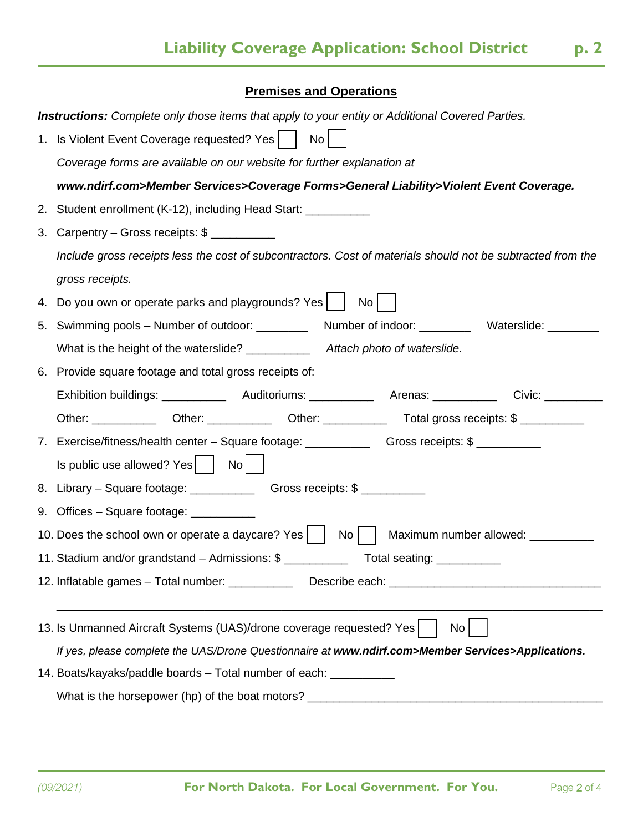#### **Premises and Operations**

 $\overline{a}$ 

|    | <b>Instructions:</b> Complete only those items that apply to your entity or Additional Covered Parties.     |  |  |  |  |  |
|----|-------------------------------------------------------------------------------------------------------------|--|--|--|--|--|
|    | 1. Is Violent Event Coverage requested? Yes   No                                                            |  |  |  |  |  |
|    | Coverage forms are available on our website for further explanation at                                      |  |  |  |  |  |
|    | www.ndirf.com>Member Services>Coverage Forms>General Liability>Violent Event Coverage.                      |  |  |  |  |  |
| 2. | Student enrollment (K-12), including Head Start: ___________                                                |  |  |  |  |  |
| 3. | Carpentry – Gross receipts: \$                                                                              |  |  |  |  |  |
|    | Include gross receipts less the cost of subcontractors. Cost of materials should not be subtracted from the |  |  |  |  |  |
|    | gross receipts.                                                                                             |  |  |  |  |  |
| 4. | Do you own or operate parks and playgrounds? Yes  <br>No <sub>1</sub>                                       |  |  |  |  |  |
| 5. | Number of indoor: _____________ Waterslide: _________<br>Swimming pools – Number of outdoor: ________       |  |  |  |  |  |
|    | What is the height of the waterslide? _____________ Attach photo of waterslide.                             |  |  |  |  |  |
| 6. | Provide square footage and total gross receipts of:                                                         |  |  |  |  |  |
|    | Exhibition buildings: ______________ Auditoriums: _____________ Arenas: ____________ Civic: _________       |  |  |  |  |  |
|    |                                                                                                             |  |  |  |  |  |
|    | 7. Exercise/fitness/health center – Square footage: Changer Cross receipts: \$                              |  |  |  |  |  |
|    | Is public use allowed? Yes     No                                                                           |  |  |  |  |  |
|    |                                                                                                             |  |  |  |  |  |
|    | 9. Offices – Square footage: ___________                                                                    |  |  |  |  |  |
|    | 10. Does the school own or operate a daycare? Yes    <br>No<br>Maximum number allowed: __________           |  |  |  |  |  |
|    | 11. Stadium and/or grandstand - Admissions: \$<br>Total seating: ____________                               |  |  |  |  |  |
|    | 12. Inflatable games - Total number: __________                                                             |  |  |  |  |  |
|    |                                                                                                             |  |  |  |  |  |
|    | 13. Is Unmanned Aircraft Systems (UAS)/drone coverage requested? Yes<br>No <sub>1</sub>                     |  |  |  |  |  |
|    | If yes, please complete the UAS/Drone Questionnaire at www.ndirf.com>Member Services>Applications.          |  |  |  |  |  |
|    | 14. Boats/kayaks/paddle boards - Total number of each: __________                                           |  |  |  |  |  |
|    |                                                                                                             |  |  |  |  |  |
|    |                                                                                                             |  |  |  |  |  |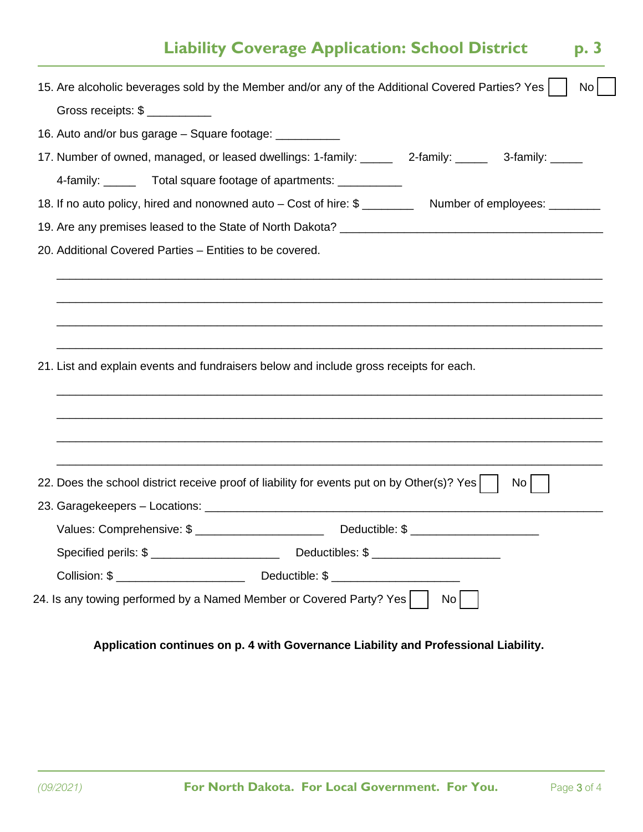### **Liability Coverage Application: School District p. 3**

| 15. Are alcoholic beverages sold by the Member and/or any of the Additional Covered Parties? Yes            |    |                 | No |
|-------------------------------------------------------------------------------------------------------------|----|-----------------|----|
| Gross receipts: \$                                                                                          |    |                 |    |
| 16. Auto and/or bus garage - Square footage: __________                                                     |    |                 |    |
| 17. Number of owned, managed, or leased dwellings: 1-family: ______ 2-family: _____ 3-family: _____         |    |                 |    |
| 4-family: _______ Total square footage of apartments: ___________                                           |    |                 |    |
| 18. If no auto policy, hired and nonowned auto - Cost of hire: \$ ____________ Number of employees: _______ |    |                 |    |
|                                                                                                             |    |                 |    |
| 20. Additional Covered Parties - Entities to be covered.                                                    |    |                 |    |
|                                                                                                             |    |                 |    |
|                                                                                                             |    |                 |    |
|                                                                                                             |    |                 |    |
|                                                                                                             |    |                 |    |
| 21. List and explain events and fundraisers below and include gross receipts for each.                      |    |                 |    |
|                                                                                                             |    |                 |    |
|                                                                                                             |    |                 |    |
|                                                                                                             |    |                 |    |
|                                                                                                             |    |                 |    |
| 22. Does the school district receive proof of liability for events put on by Other(s)? Yes                  |    | No <sub>1</sub> |    |
|                                                                                                             |    |                 |    |
|                                                                                                             |    |                 |    |
|                                                                                                             |    |                 |    |
|                                                                                                             |    |                 |    |
|                                                                                                             |    |                 |    |
| 24. Is any towing performed by a Named Member or Covered Party? Yes                                         | No |                 |    |

**Application continues on p. 4 with Governance Liability and Professional Liability.**